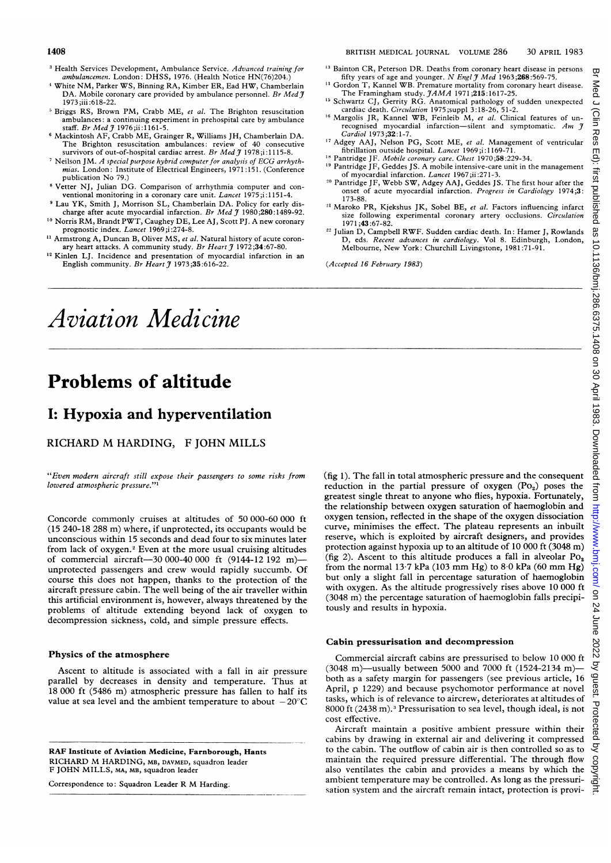- <sup>3</sup> Health Services Development, Ambulance Service. Advanced training for ambulancemen. London: DHSS, 1976. (Health Notice HN(76)204.)
- 4White NM, Parker WS, Binning RA, Kimber ER, Ead HW, Chamberlain DA. Mobile coronary care provided by ambulance personnel. Br Med  $j$ 1973 ;iii :618-22.
- <sup>5</sup> Briggs RS, Brown PM, Crabb ME, et al. The Brighton resuscitation ambulances: a continuing experiment in prehospital care by ambulance
- staff. *Br Med J* 1976;ii: 1161-5.<br>Kackintosh AF, Crabb ME, Grainger R, Williams JH, Chamberlain DA. The Brighton resuscitation ambulances: review of 40 consecutive survivors of out-of-hospital cardiac arrest. Br Med  $\widetilde{J}$  1978;i:1115-8.
- Neilson JM. A special purpose hybrid computer for analysis of ECG arrhythmias. London: Institute of Electrical Engineers, 1971:151. (Conference publication No 79.)
- Vetter NJ, Julian DG. Comparison of arrhythmia computer and conventional monitoring in a coronary care unit. Lancet 1975;i:1151-4.
- <sup>9</sup> Lau YK, Smith J, Morrison SL, Chamberlain DA. Policy for early discharge after acute myocardial infarction. Br Med  $\tilde{f}$  1980;280:1489-92. <sup>10</sup> Norris RM, Brandt PWT, Caughey DE, Lee AJ, Scott PJ. A new coronary
- prognostic index. Lancet 1969;i:274-8.
- <sup>11</sup> Armstrong A, Duncan B, Oliver MS, et al. Natural history of acute coronary heart attacks. A community study. Br Heart  $\tilde{\jmath}$  1972;34:67-80.
- <sup>12</sup> Kinlen LJ. Incidence and presentation of myocardial infarction in an English community. Br Heart  $\tilde{\jmath}$  1973;35:616-22.
- <sup>13</sup> Bainton CR, Peterson DR. Deaths from coronary heart disease in persons fifty years of age and younger. N Engl  $\widetilde{J}$  Med 1963;268:569-75.
- <sup>14</sup> Gordon T, Kannel WB. Premature mortality from coronary heart disease.
- The Framingham study.  $JAMA$  1971;215:1617-25.<br><sup>5</sup> Schwartz CJ, Gerrity RG. Anatomical pathology of sudden unexpected
- cardiac death. Circulation 1975;suppl 3:18-26, 51-2.<br><sup>6</sup> Margolis JR, Kannel WB, Feinleib M, *et al*. Clinical features of unrecognised myocardial infarction-silent and symptomatic. Am  $\hat{\jmath}$ Cardiol 1973;32:1-7.
- <sup>17</sup> Adgey AAJ, Nelson PG, Scott ME, et al. Management of ventricular fibrillation outside hospital. Lancet 1969;i: 1169-71.
- <sup>18</sup> Pantridge JF. Mobile coronary care. Chest 1970;58:229-34.
- <sup>19</sup> Pantridge JF, Geddes JS. A mobile intensive-care unit in the management of myocardial infarction. Lancet 1967;ii :271-3.
- <sup>20</sup> Pantridge JF, Webb SW, Adgey AAJ, Geddes JS. The first hour after the onset of acute myocardial infarction. Progress in Cardiology 1974;3: 173-88.
- <sup>21</sup> Maroko PR, Kjekshus JK, Sobel BE, et al. Factors influencing infarct size following experimental coronary artery occlusions. Circulation 1971 ;43:67-82.
- <sup>22</sup> Julian D, Campbell RWF. Sudden cardiac death. In: Hamer J, Rowlands D, eds. Recent advances in cardiology. Vol 8. Edinburgh, London, Melbourne, New York: Churchill Livingstone, 1981:71-91.

(Accepted 16 February 1983)

# Aviation Medicine

## Problems of altitude

## I: Hypoxia and hyperventilation

RICHARD M HARDING, <sup>F</sup> JOHN MILLS

"Even modern aircraft still expose their passengers to some risks from lowered atmospheric pressure."'

Concorde commonly cruises at altitudes of 50 000-60 000 ft (15 240-18 288 m) where, if unprotected, its occupants would be unconscious within 15 seconds and dead four to six minutes later from lack of oxygen.2 Even at the more usual cruising altitudes of commercial aircraft-30 000-40 000 ft (9144-12 192 m)unprotected passengers and crew would rapidly succumb. Of course this does not happen, thanks to the protection of the aircraft pressure cabin. The well being of the air traveller within this artificial environment is, however, always threatened by the problems of altitude extending beyond lack of oxygen to decompression sickness, cold, and simple pressure effects.

#### Physics of the atmosphere

Ascent to altitude is associated with a fall in air pressure parallel by decreases in density and temperature. Thus at 18 000 ft (5486 m) atmospheric pressure has fallen to half its value at sea level and the ambient temperature to about  $-20^{\circ}$ C

RAF Institute of Aviation Medicine, Farnborough, Hants RICHARD M HARDING, MB, DAVMED, squadron leader F JOHN MILLS, MA, MB, squadron leader

Correspondence to: Squadron Leader R M Harding.

(fig 1). The fall in total atmospheric pressure and the consequent reduction in the partial pressure of oxygen  $(Po_2)$  poses the greatest single threat to anyone who flies, hypoxia. Fortunately, the relationship between oxygen saturation of haemoglobin and oxygen tension, reflected in the shape of the oxygen dissociation curve, minimises the effect. The plateau represents an inbuilt reserve, which is exploited by aircraft designers, and provides protection against hypoxia up to an altitude of 10 000 ft (3048 m) (fig 2). Ascent to this altitude produces a fall in alveolar  $Po_2$ from the normal  $13.7$  kPa (103 mm Hg) to  $8.0$  kPa (60 mm Hg) but only a slight fall in percentage saturation of haemoglobin with oxygen. As the altitude progressively rises above 10 000 ft (3048 m) the percentage saturation of haemoglobin falls precipitously and results in hypoxia.

### Cabin pressurisation and decompression

Commercial aircraft cabins are pressurised to below 10 000 ft (3048 m)—usually between 5000 and 7000 ft (1524-2134 m) both as a safety margin for passengers (see previous article, 16 April, p 1229) and because psychomotor performance at novel tasks, which is of relevance to aircrew, deteriorates at altitudes of 8000 ft (2438 m).3 Pressurisation to sea level, though ideal, is not cost effective.

Aircraft maintain a positive ambient pressure within their cabins by drawing in external air and delivering it compressed to the cabin. The outflow of cabin air is then controlled so as to maintain the required pressure differential. The through flow also ventilates the cabin and provides a means by which the ambient temperature may be controlled. As long as the pressurisation system and the aircraft remain intact, protection is provi-

Med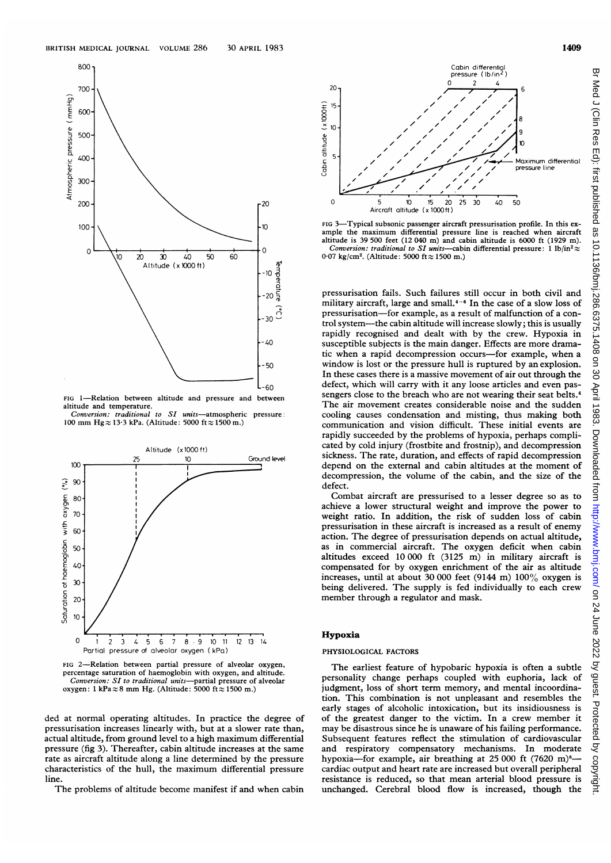

altitude and temperature.

Conversion: traditional to SI units-atmospheric pressure: 100 mm Hg $\approx$  13-3 kPa. (Altitude: 5000 ft  $\approx$  1500 m.)



FIG 2-Relation between partial pressure of alveolar oxygen, percentage saturation of haemoglobin with oxygen, and altitude. Conversion: SI to traditional units—partial pressure of alveolar oxygen: 1 kPa $\approx$ 8 mm Hg. (Altitude: 5000 ft  $\approx$  1500 m.)

ded at normal operating altitudes. In practice the degree of pressurisation increases linearly with, but at a slower rate than, actual altitude, from ground level to <sup>a</sup> high maximum differential pressure (fig 3). Thereafter, cabin altitude increases at the same rate as aircraft altitude along a line determined by the pressure characteristics of the hull, the maximum differential pressure line.

The problems of altitude become manifest if and when cabin



FIG 3-Typical subsonic passenger aircraft pressurisation profile. In this example the maximum differential pressure line is reached when aircraft altitude is 39 500 feet (12 040 m) and cabin altitude is 6000 ft (1929 m). Conversion: traditional to SI units-cabin differential pressure: 1 lb/in<sup>2</sup> $\approx$ 0.07 kg/cm<sup>2</sup>. (Altitude: 5000 ft $\approx$  1500 m.)

pressurisation fails. Such failures still occur in both civil and military aircraft, large and small. $4-6$  In the case of a slow loss of pressurisation-for example, as a result of malfunction of a control system-the cabin altitude will increase slowly; this is usually rapidly recognised and dealt with by the crew. Hypoxia in susceptible subjects is the main danger. Effects are more dramatic when a rapid decompression occurs-for example, when a window is lost or the pressure hull is ruptured by an explosion. In these cases there is a massive movement of air out through the defect, which will carry with it any loose articles and even passengers close to the breach who are not wearing their seat belts.<sup>4</sup> The air movement creates considerable noise and the sudden cooling causes condensation and misting, thus making both communication and vision difficult. These initial events are rapidly succeeded by the problems of hypoxia, perhaps complicated by cold injury (frostbite and frostnip), and decompression sickness. The rate, duration, and effects of rapid decompression depend on the external and cabin altitudes at the moment of decompression, the volume of the cabin, and the size of the defect.

Combat aircraft are pressurised to a lesser degree so as to achieve a lower structural weight and improve the power to weight ratio. In addition, the risk of sudden loss of cabin pressurisation in these aircraft is increased as a result of enemy action. The degree of pressurisation depends on actual altitude, as in commercial aircraft. The oxygen deficit when cabin altitudes exceed 10 000 ft (3125 m) in military aircraft is compensated for by oxygen enrichment of the air as altitude increases, until at about 30 000 feet (9144 m) 100% oxygen is being delivered. The supply is fed individually to each crew member through a regulator and mask.

#### Hypoxia

#### PHYSIOLOGICAL FACTORS

The earliest feature of hypobaric hypoxia is often a subtle personality change perhaps coupled with euphoria, lack of judgment, loss of short term memory, and mental incoordination. This combination is not unpleasant and resembles the early stages of alcoholic intoxication, but its insidiousness is of the greatest danger to the victim. In a crew member it may be disastrous since he is unaware of his failing performance. Subsequent features reflect the stimulation of cardiovascular and respiratory compensatory mechanisms. In moderate hypoxia-for example, air breathing at  $25\,000$  ft  $(7620 \text{ m})^6$ cardiac output and heart rate are increased but overall peripheral resistance is reduced, so that mean arterial blood pressure is unchanged. Cerebral blood flow is increased, though the